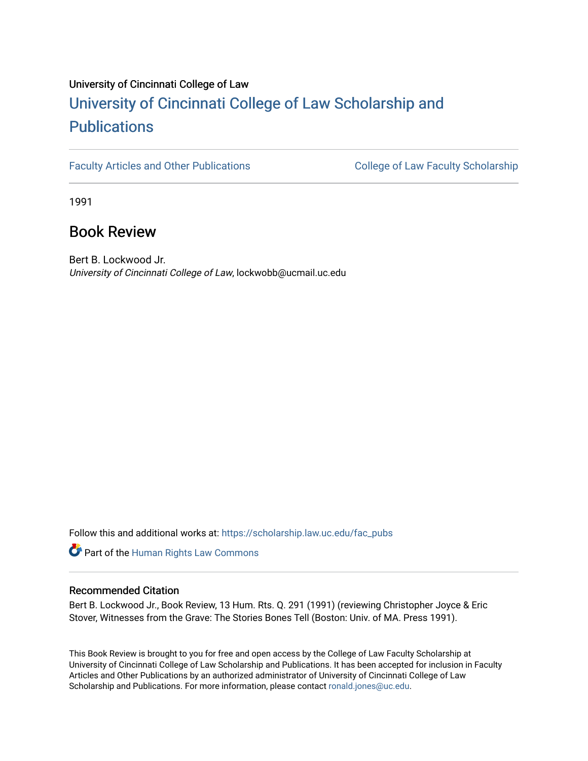# University of Cincinnati College of Law [University of Cincinnati College of Law Scholarship and](https://scholarship.law.uc.edu/) **Publications**

[Faculty Articles and Other Publications](https://scholarship.law.uc.edu/fac_pubs) **College of Law Faculty Scholarship** 

1991

## Book Review

Bert B. Lockwood Jr. University of Cincinnati College of Law, lockwobb@ucmail.uc.edu

Follow this and additional works at: [https://scholarship.law.uc.edu/fac\\_pubs](https://scholarship.law.uc.edu/fac_pubs?utm_source=scholarship.law.uc.edu%2Ffac_pubs%2F454&utm_medium=PDF&utm_campaign=PDFCoverPages)

**Part of the Human Rights Law Commons** 

### Recommended Citation

Bert B. Lockwood Jr., Book Review, 13 Hum. Rts. Q. 291 (1991) (reviewing Christopher Joyce & Eric Stover, Witnesses from the Grave: The Stories Bones Tell (Boston: Univ. of MA. Press 1991).

This Book Review is brought to you for free and open access by the College of Law Faculty Scholarship at University of Cincinnati College of Law Scholarship and Publications. It has been accepted for inclusion in Faculty Articles and Other Publications by an authorized administrator of University of Cincinnati College of Law Scholarship and Publications. For more information, please contact [ronald.jones@uc.edu.](mailto:ronald.jones@uc.edu)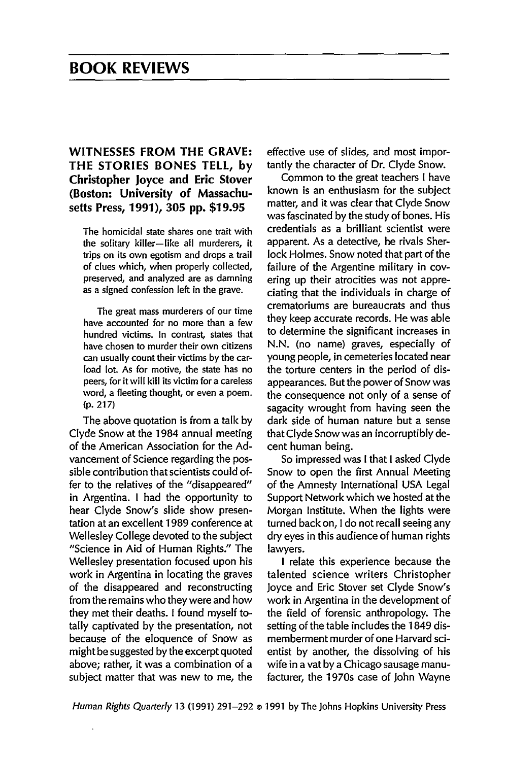### **BOOK REVIEWS**

### WITNESSES FROM THE GRAVE: THE STORIES BONES TELL, by Christopher Joyce and Eric Stover (Boston: University of Massachusetts Press, 1991), 305 pp. \$19.95

The homicidal state shares one trait with the solitary killer-like all murderers, it trips on its own egotism and drops a trail of clues which, when properly collected, preserved, and analyzed are as damning as a signed confession left in the grave.

The great mass murderers of our time have accounted for no more than a few hundred victims. In contrast, states that have chosen to murder their own citizens can usually count their victims by the carload lot. As for motive, the state has no peers, for it will kill its victim for a careless word, a fleeting thought, or even a poem. (p. 217)

The above quotation is from a talk by Clyde Snow at the 1984 annual meeting of the American Association for the Advancement of Science regarding the possible contribution that scientists could offer to the relatives of the "disappeared" in Argentina. I had the opportunity to hear Clyde Snow's slide show presentation at an excellent 1989 conference at Wellesley College devoted to the subject "Science in Aid of Human Rights." The Wellesley presentation focused upon his work in Argentina in locating the graves of the disappeared and reconstructing from the remains who they were and how they met their deaths. I found myself totally captivated by the presentation, not because of the eloquence of Snow as might be suggested by the excerpt quoted above; rather, it was a combination of a subject matter that was new to me, the

effective use of slides, and most importantly the character of Dr. Clyde Snow.

Common to the great teachers I have known is an enthusiasm for the subject matter, and it was clear that Clyde Snow was fascinated by the study of bones. His credentials as a brilliant scientist were apparent. As a detective, he rivals Sherlock Holmes. Snow noted that part of the failure of the Argentine military in covering up their atrocities was not appreciating that the individuals in charge of crematoriums are bureaucrats and thus they keep accurate records. He was able to determine the significant increases in N.N. (no name) graves, especially of young people, in cemeteries located near the torture centers in the period of disappearances. But the power of Snow was the consequence not only of a sense of sagacity wrought from having seen the dark side of human nature but a sense that Clyde Snow was an incorruptibly decent human being.

So impressed was I that I asked Clyde Snow to open the first Annual Meeting of the Amnesty International USA Legal Support Network which we hosted at the Morgan Institute. When the lights were turned back on, I do not recall seeing any dry eyes in this audience of human rights lawyers.

I relate this experience because the talented science writers Christopher Joyce and Eric Stover set Clyde Snow's work in Argentina in the development of the field of forensic anthropology. The setting of the table includes the 1849 dismemberment murder of one Harvard scientist by another, the dissolving of his wife in a vat by a Chicago sausage manufacturer, the 1970s case of John Wayne

*Human Rights Quarterly* 13 (1991) 291-292 © 1991 by The Johns Hopkins University Press